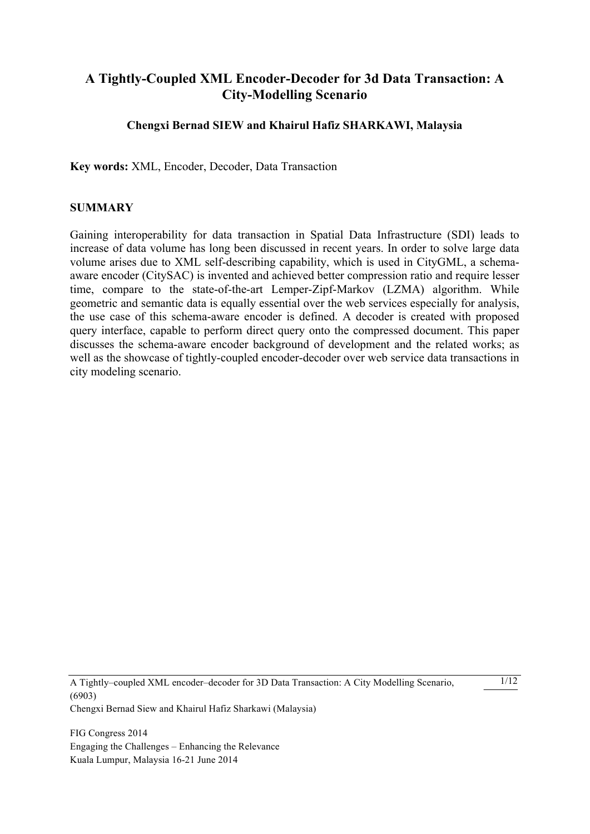# **A Tightly-Coupled XML Encoder-Decoder for 3d Data Transaction: A City-Modelling Scenario**

## **Chengxi Bernad SIEW and Khairul Hafiz SHARKAWI, Malaysia**

**Key words:** XML, Encoder, Decoder, Data Transaction

#### **SUMMARY**

Gaining interoperability for data transaction in Spatial Data Infrastructure (SDI) leads to increase of data volume has long been discussed in recent years. In order to solve large data volume arises due to XML self-describing capability, which is used in CityGML, a schemaaware encoder (CitySAC) is invented and achieved better compression ratio and require lesser time, compare to the state-of-the-art Lemper-Zipf-Markov (LZMA) algorithm. While geometric and semantic data is equally essential over the web services especially for analysis, the use case of this schema-aware encoder is defined. A decoder is created with proposed query interface, capable to perform direct query onto the compressed document. This paper discusses the schema-aware encoder background of development and the related works; as well as the showcase of tightly-coupled encoder-decoder over web service data transactions in city modeling scenario.

A Tightly–coupled XML encoder–decoder for 3D Data Transaction: A City Modelling Scenario, (6903) Chengxi Bernad Siew and Khairul Hafiz Sharkawi (Malaysia)

1/12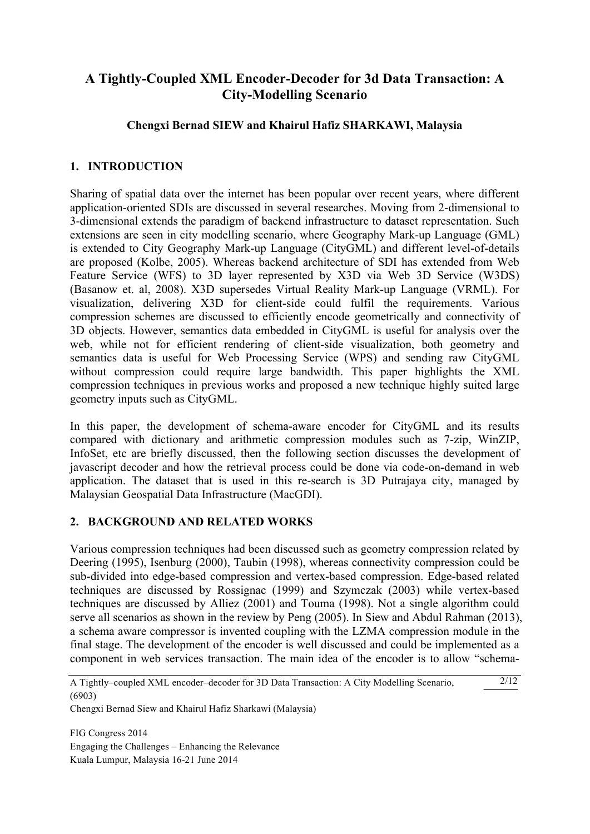# **A Tightly-Coupled XML Encoder-Decoder for 3d Data Transaction: A City-Modelling Scenario**

## **Chengxi Bernad SIEW and Khairul Hafiz SHARKAWI, Malaysia**

## **1. INTRODUCTION**

Sharing of spatial data over the internet has been popular over recent years, where different application-oriented SDIs are discussed in several researches. Moving from 2-dimensional to 3-dimensional extends the paradigm of backend infrastructure to dataset representation. Such extensions are seen in city modelling scenario, where Geography Mark-up Language (GML) is extended to City Geography Mark-up Language (CityGML) and different level-of-details are proposed (Kolbe, 2005). Whereas backend architecture of SDI has extended from Web Feature Service (WFS) to 3D layer represented by X3D via Web 3D Service (W3DS) (Basanow et. al, 2008). X3D supersedes Virtual Reality Mark-up Language (VRML). For visualization, delivering X3D for client-side could fulfil the requirements. Various compression schemes are discussed to efficiently encode geometrically and connectivity of 3D objects. However, semantics data embedded in CityGML is useful for analysis over the web, while not for efficient rendering of client-side visualization, both geometry and semantics data is useful for Web Processing Service (WPS) and sending raw CityGML without compression could require large bandwidth. This paper highlights the XML compression techniques in previous works and proposed a new technique highly suited large geometry inputs such as CityGML.

In this paper, the development of schema-aware encoder for CityGML and its results compared with dictionary and arithmetic compression modules such as 7-zip, WinZIP, InfoSet, etc are briefly discussed, then the following section discusses the development of javascript decoder and how the retrieval process could be done via code-on-demand in web application. The dataset that is used in this re-search is 3D Putrajaya city, managed by Malaysian Geospatial Data Infrastructure (MacGDI).

## **2. BACKGROUND AND RELATED WORKS**

Various compression techniques had been discussed such as geometry compression related by Deering (1995), Isenburg (2000), Taubin (1998), whereas connectivity compression could be sub-divided into edge-based compression and vertex-based compression. Edge-based related techniques are discussed by Rossignac (1999) and Szymczak (2003) while vertex-based techniques are discussed by Alliez (2001) and Touma (1998). Not a single algorithm could serve all scenarios as shown in the review by Peng (2005). In Siew and Abdul Rahman (2013), a schema aware compressor is invented coupling with the LZMA compression module in the final stage. The development of the encoder is well discussed and could be implemented as a component in web services transaction. The main idea of the encoder is to allow "schema-

2/12

Chengxi Bernad Siew and Khairul Hafiz Sharkawi (Malaysia)

A Tightly–coupled XML encoder–decoder for 3D Data Transaction: A City Modelling Scenario, (6903)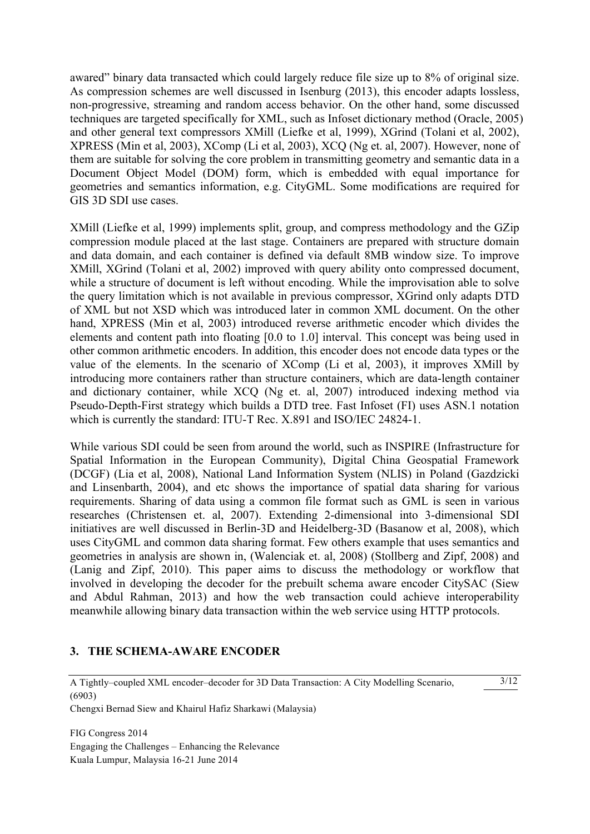awared" binary data transacted which could largely reduce file size up to 8% of original size. As compression schemes are well discussed in Isenburg (2013), this encoder adapts lossless, non-progressive, streaming and random access behavior. On the other hand, some discussed techniques are targeted specifically for XML, such as Infoset dictionary method (Oracle, 2005) and other general text compressors XMill (Liefke et al, 1999), XGrind (Tolani et al, 2002), XPRESS (Min et al, 2003), XComp (Li et al, 2003), XCQ (Ng et. al, 2007). However, none of them are suitable for solving the core problem in transmitting geometry and semantic data in a Document Object Model (DOM) form, which is embedded with equal importance for geometries and semantics information, e.g. CityGML. Some modifications are required for GIS 3D SDI use cases.

XMill (Liefke et al, 1999) implements split, group, and compress methodology and the GZip compression module placed at the last stage. Containers are prepared with structure domain and data domain, and each container is defined via default 8MB window size. To improve XMill, XGrind (Tolani et al, 2002) improved with query ability onto compressed document, while a structure of document is left without encoding. While the improvisation able to solve the query limitation which is not available in previous compressor, XGrind only adapts DTD of XML but not XSD which was introduced later in common XML document. On the other hand, XPRESS (Min et al, 2003) introduced reverse arithmetic encoder which divides the elements and content path into floating [0.0 to 1.0] interval. This concept was being used in other common arithmetic encoders. In addition, this encoder does not encode data types or the value of the elements. In the scenario of XComp (Li et al, 2003), it improves XMill by introducing more containers rather than structure containers, which are data-length container and dictionary container, while XCQ (Ng et. al, 2007) introduced indexing method via Pseudo-Depth-First strategy which builds a DTD tree. Fast Infoset (FI) uses ASN.1 notation which is currently the standard: ITU-T Rec. X.891 and ISO/IEC 24824-1.

While various SDI could be seen from around the world, such as INSPIRE (Infrastructure for Spatial Information in the European Community), Digital China Geospatial Framework (DCGF) (Lia et al, 2008), National Land Information System (NLIS) in Poland (Gazdzicki and Linsenbarth, 2004), and etc shows the importance of spatial data sharing for various requirements. Sharing of data using a common file format such as GML is seen in various researches (Christensen et. al, 2007). Extending 2-dimensional into 3-dimensional SDI initiatives are well discussed in Berlin-3D and Heidelberg-3D (Basanow et al, 2008), which uses CityGML and common data sharing format. Few others example that uses semantics and geometries in analysis are shown in, (Walenciak et. al, 2008) (Stollberg and Zipf, 2008) and (Lanig and Zipf, 2010). This paper aims to discuss the methodology or workflow that involved in developing the decoder for the prebuilt schema aware encoder CitySAC (Siew and Abdul Rahman, 2013) and how the web transaction could achieve interoperability meanwhile allowing binary data transaction within the web service using HTTP protocols.

## **3. THE SCHEMA-AWARE ENCODER**

#### A Tightly–coupled XML encoder–decoder for 3D Data Transaction: A City Modelling Scenario, (6903)

3/12

Chengxi Bernad Siew and Khairul Hafiz Sharkawi (Malaysia)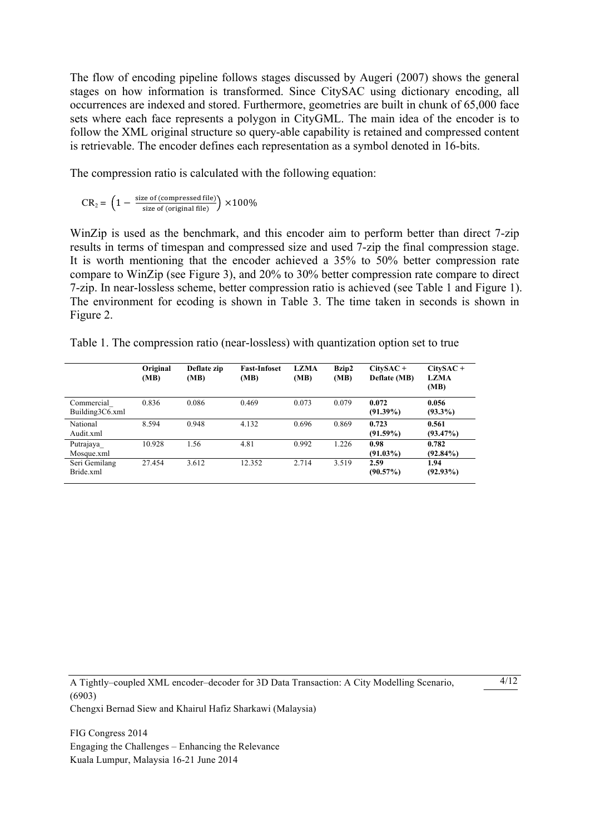The flow of encoding pipeline follows stages discussed by Augeri (2007) shows the general stages on how information is transformed. Since CitySAC using dictionary encoding, all occurrences are indexed and stored. Furthermore, geometries are built in chunk of 65,000 face sets where each face represents a polygon in CityGML. The main idea of the encoder is to follow the XML original structure so query-able capability is retained and compressed content is retrievable. The encoder defines each representation as a symbol denoted in 16-bits.

The compression ratio is calculated with the following equation:

$$
CR_2 = \left(1 - \frac{\text{size of (compressed file)}}{\text{size of (original file)}}\right) \times 100\%
$$

WinZip is used as the benchmark, and this encoder aim to perform better than direct 7-zip results in terms of timespan and compressed size and used 7-zip the final compression stage. It is worth mentioning that the encoder achieved a 35% to 50% better compression rate compare to WinZip (see Figure 3), and 20% to 30% better compression rate compare to direct 7-zip. In near-lossless scheme, better compression ratio is achieved (see Table 1 and Figure 1). The environment for ecoding is shown in Table 3. The time taken in seconds is shown in Figure 2.

|  | Table 1. The compression ratio (near-lossless) with quantization option set to true |  |  |  |
|--|-------------------------------------------------------------------------------------|--|--|--|
|  |                                                                                     |  |  |  |

|                               | Original<br>(MB) | Deflate zip<br>(MB) | <b>Fast-Infoset</b><br>(MB) | <b>LZMA</b><br>(MB) | Bzip2<br>(MB) | $CitySAC +$<br>Deflate (MB) | $CitySAC +$<br><b>LZMA</b><br>(MB) |
|-------------------------------|------------------|---------------------|-----------------------------|---------------------|---------------|-----------------------------|------------------------------------|
| Commercial<br>Building3C6.xml | 0.836            | 0.086               | 0.469                       | 0.073               | 0.079         | 0.072<br>$(91.39\%)$        | 0.056<br>$(93.3\%)$                |
| National<br>Audit xml         | 8.594            | 0.948               | 4.132                       | 0.696               | 0.869         | 0.723<br>$(91.59\%)$        | 0.561<br>$(93.47\%)$               |
| Putrajaya<br>Mosque.xml       | 10.928           | 1.56                | 4.81                        | 0.992               | 1.226         | 0.98<br>$(91.03\%)$         | 0.782<br>$(92.84\%)$               |
| Seri Gemilang<br>Bride.xml    | 27.454           | 3.612               | 12.352                      | 2.714               | 3.519         | 2.59<br>$(90.57\%)$         | 1.94<br>$(92.93\%)$                |

A Tightly–coupled XML encoder–decoder for 3D Data Transaction: A City Modelling Scenario, (6903) Chengxi Bernad Siew and Khairul Hafiz Sharkawi (Malaysia)

 $4/12$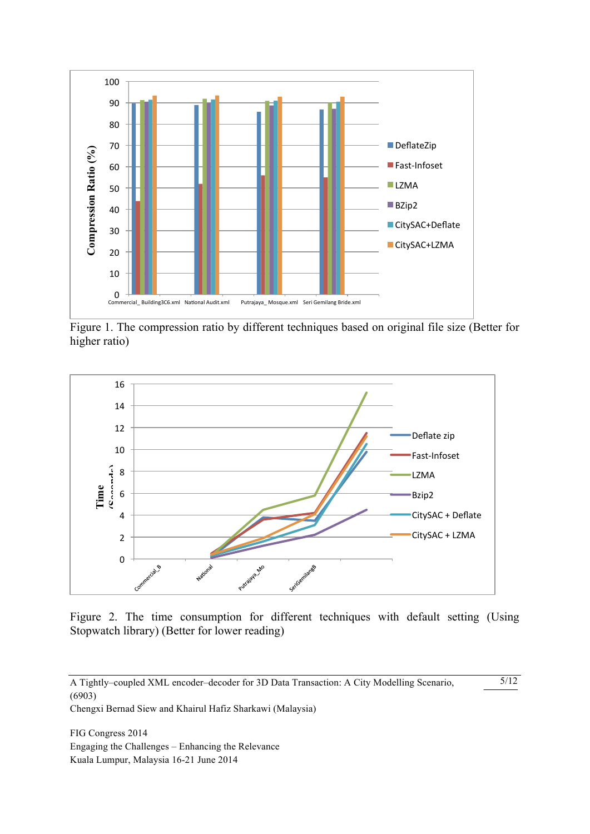

Figure 1. The compression ratio by different techniques based on original file size (Better for higher ratio)



Figure 2. The time consumption for different techniques with default setting (Using Stopwatch library) (Better for lower reading)

5/12

Chengxi Bernad Siew and Khairul Hafiz Sharkawi (Malaysia)

A Tightly–coupled XML encoder–decoder for 3D Data Transaction: A City Modelling Scenario, (6903)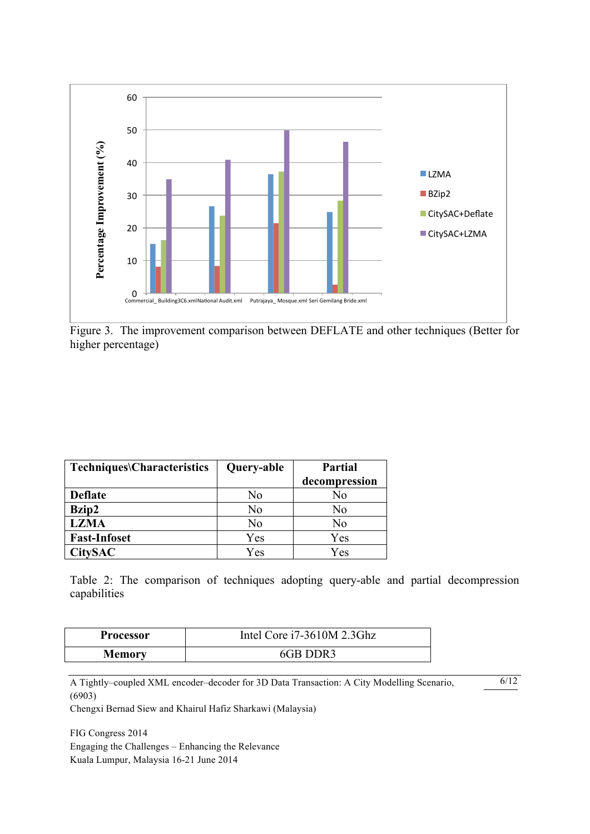

Figure 3. The improvement comparison between DEFLATE and other techniques (Better for higher percentage)

| Techniques\Characteristics | Query-able | <b>Partial</b> |  |
|----------------------------|------------|----------------|--|
|                            |            | decompression  |  |
| <b>Deflate</b>             | No         | No             |  |
| Bzip2                      | No         | No             |  |
| <b>LZMA</b>                | No         | No             |  |
| <b>Fast-Infoset</b>        | Yes        | Yes            |  |
| <b>CitySAC</b>             | Yes        | Yes            |  |

Table 2: The comparison of techniques adopting query-able and partial decompression capabilities

| Processor     | Intel Core i7-3610M 2.3Ghz |
|---------------|----------------------------|
| <b>Memory</b> | 6GB DDR3                   |

A Tightly–coupled XML encoder–decoder for 3D Data Transaction: A City Modelling Scenario, (6903)

6/12

Chengxi Bernad Siew and Khairul Hafiz Sharkawi (Malaysia)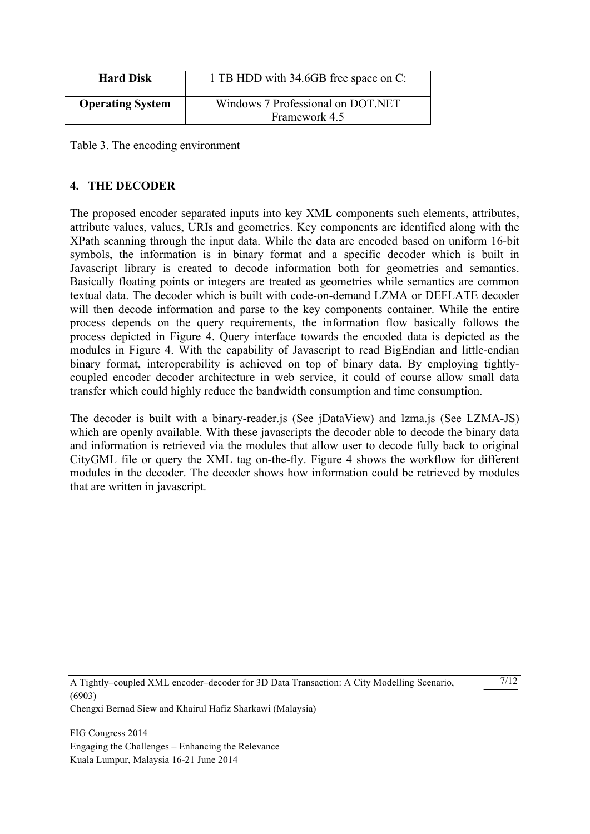| <b>Hard Disk</b>        | 1 TB HDD with 34.6GB free space on C:              |
|-------------------------|----------------------------------------------------|
| <b>Operating System</b> | Windows 7 Professional on DOT.NET<br>Framework 4.5 |

Table 3. The encoding environment

## **4. THE DECODER**

The proposed encoder separated inputs into key XML components such elements, attributes, attribute values, values, URIs and geometries. Key components are identified along with the XPath scanning through the input data. While the data are encoded based on uniform 16-bit symbols, the information is in binary format and a specific decoder which is built in Javascript library is created to decode information both for geometries and semantics. Basically floating points or integers are treated as geometries while semantics are common textual data. The decoder which is built with code-on-demand LZMA or DEFLATE decoder will then decode information and parse to the key components container. While the entire process depends on the query requirements, the information flow basically follows the process depicted in Figure 4. Query interface towards the encoded data is depicted as the modules in Figure 4. With the capability of Javascript to read BigEndian and little-endian binary format, interoperability is achieved on top of binary data. By employing tightlycoupled encoder decoder architecture in web service, it could of course allow small data transfer which could highly reduce the bandwidth consumption and time consumption.

The decoder is built with a binary-reader.js (See jDataView) and lzma.js (See LZMA-JS) which are openly available. With these javascripts the decoder able to decode the binary data and information is retrieved via the modules that allow user to decode fully back to original CityGML file or query the XML tag on-the-fly. Figure 4 shows the workflow for different modules in the decoder. The decoder shows how information could be retrieved by modules that are written in javascript.

A Tightly–coupled XML encoder–decoder for 3D Data Transaction: A City Modelling Scenario, (6903) Chengxi Bernad Siew and Khairul Hafiz Sharkawi (Malaysia)

 $7/12$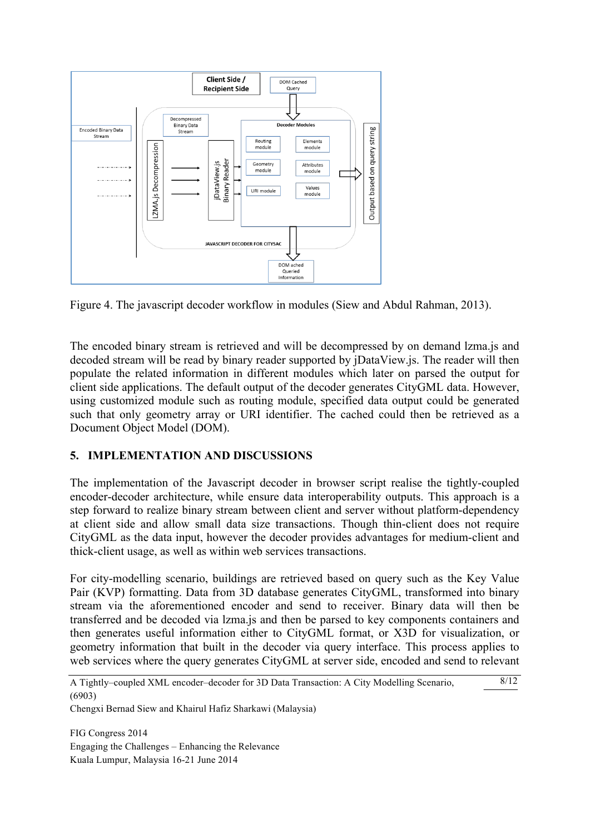

Figure 4. The javascript decoder workflow in modules (Siew and Abdul Rahman, 2013).

The encoded binary stream is retrieved and will be decompressed by on demand lzma.js and decoded stream will be read by binary reader supported by jDataView.js. The reader will then populate the related information in different modules which later on parsed the output for client side applications. The default output of the decoder generates CityGML data. However, using customized module such as routing module, specified data output could be generated such that only geometry array or URI identifier. The cached could then be retrieved as a Document Object Model (DOM).

## **5. IMPLEMENTATION AND DISCUSSIONS**

The implementation of the Javascript decoder in browser script realise the tightly-coupled encoder-decoder architecture, while ensure data interoperability outputs. This approach is a step forward to realize binary stream between client and server without platform-dependency at client side and allow small data size transactions. Though thin-client does not require CityGML as the data input, however the decoder provides advantages for medium-client and thick-client usage, as well as within web services transactions.

For city-modelling scenario, buildings are retrieved based on query such as the Key Value Pair (KVP) formatting. Data from 3D database generates CityGML, transformed into binary stream via the aforementioned encoder and send to receiver. Binary data will then be transferred and be decoded via lzma.js and then be parsed to key components containers and then generates useful information either to CityGML format, or X3D for visualization, or geometry information that built in the decoder via query interface. This process applies to web services where the query generates CityGML at server side, encoded and send to relevant

 $8/12$ 

Chengxi Bernad Siew and Khairul Hafiz Sharkawi (Malaysia)

A Tightly–coupled XML encoder–decoder for 3D Data Transaction: A City Modelling Scenario, (6903)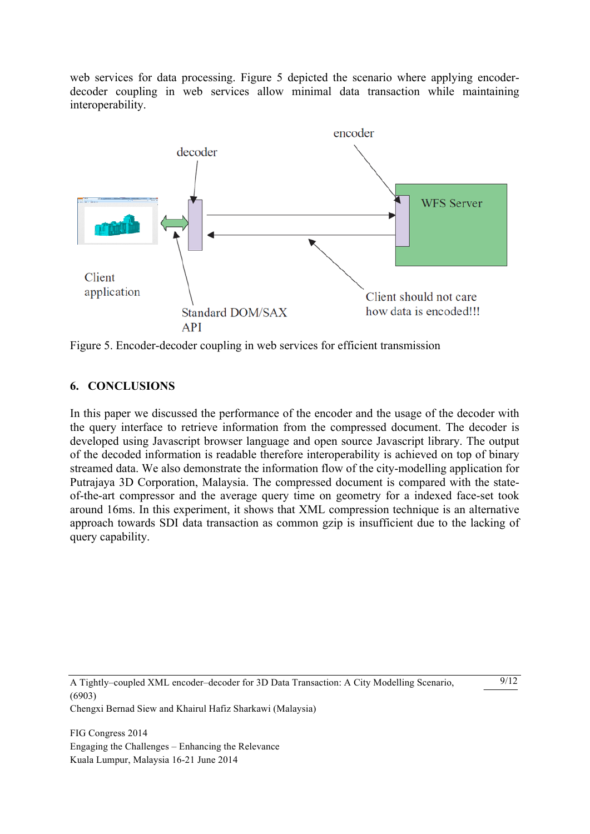web services for data processing. Figure 5 depicted the scenario where applying encoderdecoder coupling in web services allow minimal data transaction while maintaining interoperability.



Figure 5. Encoder-decoder coupling in web services for efficient transmission

## **6. CONCLUSIONS**

In this paper we discussed the performance of the encoder and the usage of the decoder with the query interface to retrieve information from the compressed document. The decoder is developed using Javascript browser language and open source Javascript library. The output of the decoded information is readable therefore interoperability is achieved on top of binary streamed data. We also demonstrate the information flow of the city-modelling application for Putrajaya 3D Corporation, Malaysia. The compressed document is compared with the stateof-the-art compressor and the average query time on geometry for a indexed face-set took around 16ms. In this experiment, it shows that XML compression technique is an alternative approach towards SDI data transaction as common gzip is insufficient due to the lacking of query capability.

A Tightly–coupled XML encoder–decoder for 3D Data Transaction: A City Modelling Scenario, (6903) Chengxi Bernad Siew and Khairul Hafiz Sharkawi (Malaysia)

 $9/12$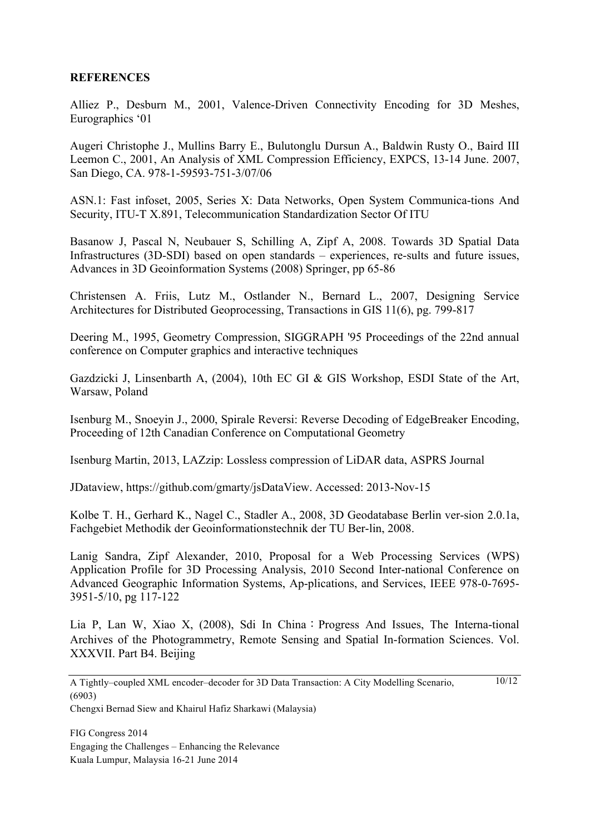#### **REFERENCES**

Alliez P., Desburn M., 2001, Valence-Driven Connectivity Encoding for 3D Meshes, Eurographics '01

Augeri Christophe J., Mullins Barry E., Bulutonglu Dursun A., Baldwin Rusty O., Baird III Leemon C., 2001, An Analysis of XML Compression Efficiency, EXPCS, 13-14 June. 2007, San Diego, CA. 978-1-59593-751-3/07/06

ASN.1: Fast infoset, 2005, Series X: Data Networks, Open System Communica-tions And Security, ITU-T X.891, Telecommunication Standardization Sector Of ITU

Basanow J, Pascal N, Neubauer S, Schilling A, Zipf A, 2008. Towards 3D Spatial Data Infrastructures (3D-SDI) based on open standards – experiences, re-sults and future issues, Advances in 3D Geoinformation Systems (2008) Springer, pp 65-86

Christensen A. Friis, Lutz M., Ostlander N., Bernard L., 2007, Designing Service Architectures for Distributed Geoprocessing, Transactions in GIS 11(6), pg. 799-817

Deering M., 1995, Geometry Compression, SIGGRAPH '95 Proceedings of the 22nd annual conference on Computer graphics and interactive techniques

Gazdzicki J, Linsenbarth A, (2004), 10th EC GI & GIS Workshop, ESDI State of the Art, Warsaw, Poland

Isenburg M., Snoeyin J., 2000, Spirale Reversi: Reverse Decoding of EdgeBreaker Encoding, Proceeding of 12th Canadian Conference on Computational Geometry

Isenburg Martin, 2013, LAZzip: Lossless compression of LiDAR data, ASPRS Journal

JDataview, https://github.com/gmarty/jsDataView. Accessed: 2013-Nov-15

Kolbe T. H., Gerhard K., Nagel C., Stadler A., 2008, 3D Geodatabase Berlin ver-sion 2.0.1a, Fachgebiet Methodik der Geoinformationstechnik der TU Ber-lin, 2008.

Lanig Sandra, Zipf Alexander, 2010, Proposal for a Web Processing Services (WPS) Application Profile for 3D Processing Analysis, 2010 Second Inter-national Conference on Advanced Geographic Information Systems, Ap-plications, and Services, IEEE 978-0-7695- 3951-5/10, pg 117-122

Lia P, Lan W, Xiao X, (2008), Sdi In China: Progress And Issues, The Interna-tional Archives of the Photogrammetry, Remote Sensing and Spatial In-formation Sciences. Vol. XXXVII. Part B4. Beijing

 $10/12$ 

Chengxi Bernad Siew and Khairul Hafiz Sharkawi (Malaysia)

A Tightly–coupled XML encoder–decoder for 3D Data Transaction: A City Modelling Scenario, (6903)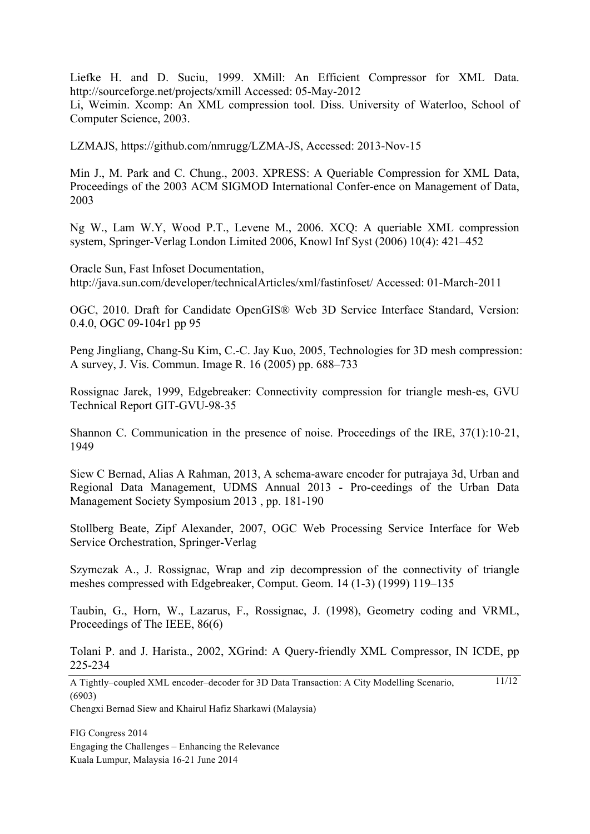Liefke H. and D. Suciu, 1999. XMill: An Efficient Compressor for XML Data. http://sourceforge.net/projects/xmill Accessed: 05-May-2012 Li, Weimin. Xcomp: An XML compression tool. Diss. University of Waterloo, School of Computer Science, 2003.

LZMAJS, https://github.com/nmrugg/LZMA-JS, Accessed: 2013-Nov-15

Min J., M. Park and C. Chung., 2003. XPRESS: A Queriable Compression for XML Data, Proceedings of the 2003 ACM SIGMOD International Confer-ence on Management of Data, 2003

Ng W., Lam W.Y, Wood P.T., Levene M., 2006. XCQ: A queriable XML compression system, Springer-Verlag London Limited 2006, Knowl Inf Syst (2006) 10(4): 421–452

Oracle Sun, Fast Infoset Documentation, http://java.sun.com/developer/technicalArticles/xml/fastinfoset/ Accessed: 01-March-2011

OGC, 2010. Draft for Candidate OpenGIS® Web 3D Service Interface Standard, Version: 0.4.0, OGC 09-104r1 pp 95

Peng Jingliang, Chang-Su Kim, C.-C. Jay Kuo, 2005, Technologies for 3D mesh compression: A survey, J. Vis. Commun. Image R. 16 (2005) pp. 688–733

Rossignac Jarek, 1999, Edgebreaker: Connectivity compression for triangle mesh-es, GVU Technical Report GIT-GVU-98-35

Shannon C. Communication in the presence of noise. Proceedings of the IRE, 37(1):10-21, 1949

Siew C Bernad, Alias A Rahman, 2013, A schema-aware encoder for putrajaya 3d, Urban and Regional Data Management, UDMS Annual 2013 - Pro-ceedings of the Urban Data Management Society Symposium 2013 , pp. 181-190

Stollberg Beate, Zipf Alexander, 2007, OGC Web Processing Service Interface for Web Service Orchestration, Springer-Verlag

Szymczak A., J. Rossignac, Wrap and zip decompression of the connectivity of triangle meshes compressed with Edgebreaker, Comput. Geom. 14 (1-3) (1999) 119–135

Taubin, G., Horn, W., Lazarus, F., Rossignac, J. (1998), Geometry coding and VRML, Proceedings of The IEEE, 86(6)

Tolani P. and J. Harista., 2002, XGrind: A Query-friendly XML Compressor, IN ICDE, pp 225-234

A Tightly–coupled XML encoder–decoder for 3D Data Transaction: A City Modelling Scenario, (6903) 11/12

Chengxi Bernad Siew and Khairul Hafiz Sharkawi (Malaysia)